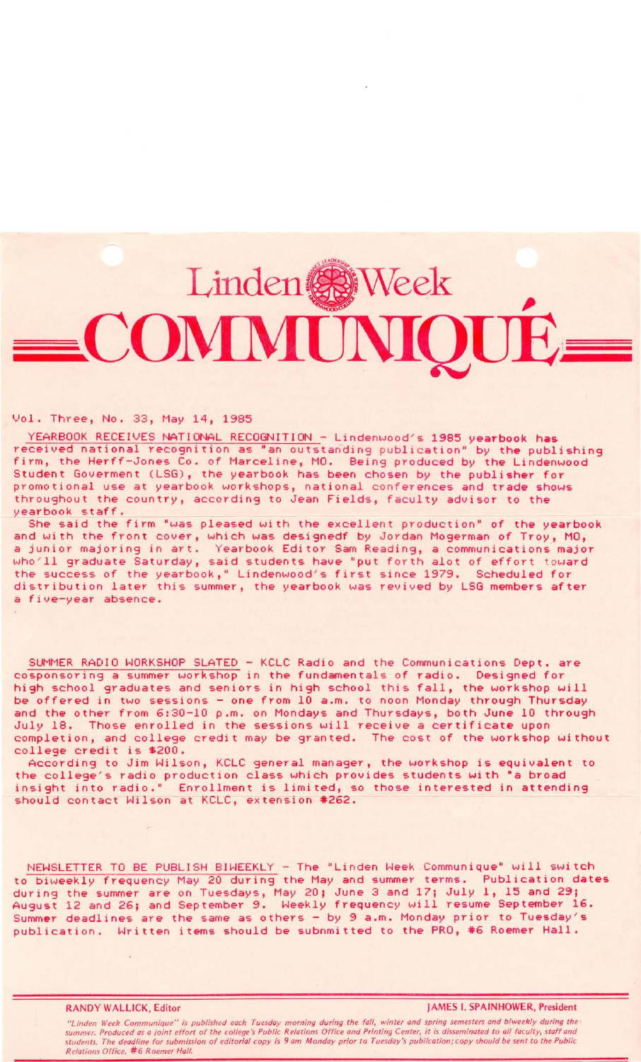## Linden & Week COMMUN

## Vol. Three, No. 33, May 14, 1985

YEARBOOK RECEIVES NATIONAL RECOGNITION - Lindenwood's 1985 yearbook has received national recognition as "an outstanding publication" by the publishing firm, the Herff-Jones Co. of Marceline, MO. Being produced by the Lindenwood Student Goverment (LSG), the yearbook has been chosen by the publisher for promotional use at yearbook workshops, national conferences and trade shows throughout the country, according to Jean Fields, faculty advisor to the yearbook staff.

She said the firm "was pleased with the excellent production" of the yearbook and with the front cover, which was designedf by Jordan Mogerman of Troy, MO, a junior majoring in art. Yearbook Editor Sam Reading, a communications· major who'll graduate Saturday, said students have "put forth alot of effort toward the success of the yearbook," Lindenwood's first since 1979. Scheduled for distribution later this summer, the yearbook was revived by LSG members after a five-year absence.

SUMMER RADIO WORKSHOP SLATED - KCLC Radio and the Communications Dept. are cosponsoring a summer workshop in the fundamentals of radio. Designed for high school graduates and seniors in high school this fall, the workshop will be offered in two sessions - one from 10 a.m. to noon Monday through Thursday and the other from 6:30-10 p.m. on Mondays and Thursdays, both June 10 through July 18. Those enrolled in the sessions will receive a certificate upon completion, and college credit may be granted. The cost of the workshop without college credit is \$200.

According to Jim Wilson, KCLC general manager, the workshop is equivalent to the college's radio production class which provides students with "a broad insight into radio." Enrollment is limited, so those interested in attending should contact Wilson at KCLC, extension #262.

NEWSLETTER TO BE PUBLISH BIWEEKLY - The "Linden Week Communique" will switch to biweekly frequency May 20 during the May and summer terms. Publication dates during the summer are on Tuesdays, May 20; June 3 and 17; July 1, 15 and 29; August 12 and 26; and September 9. Weekly frequency will resume September 16. Summer deadlines are the same as others - by 9 a.m. Monday prior to Tuesday's publication. Written items should be subnmitted to the PRO, #6 Roemer Hall.

**RANDY WALLICK,** Editor **JAMES** I. **SPAINHOWER, President** 

"Linden Week Communique" is published each Tuesday morning during the fall, winter and spring semesters and biweekly during the<br>summer. Produced as a joint effort of the college's Public Relations Office and Printing Cente students. The deadline for submission of editorial copy is 9 am Monday prior to Tuesday's publication; copy should be sent to the Public **Relations Office, #6 Roemer Hall.** *Relations Office, #6 Roemer Hall.*